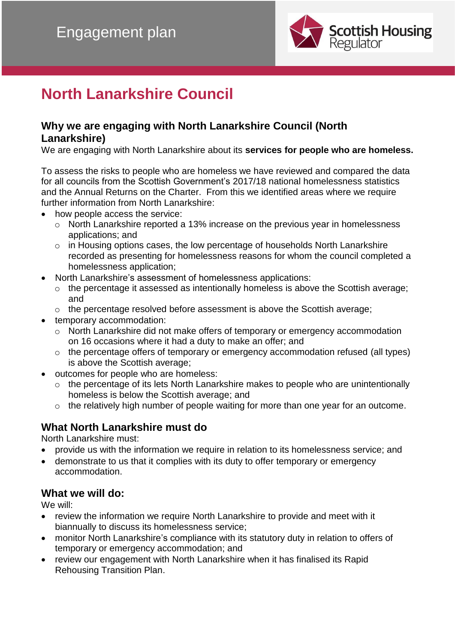

# **North Lanarkshire Council**

### **Why we are engaging with North Lanarkshire Council (North Lanarkshire)**

We are engaging with North Lanarkshire about its **services for people who are homeless.**

To assess the risks to people who are homeless we have reviewed and compared the data for all councils from the Scottish Government's 2017/18 national homelessness statistics and the Annual Returns on the Charter. From this we identified areas where we require further information from North Lanarkshire:

- how people access the service:
	- o North Lanarkshire reported a 13% increase on the previous year in homelessness applications; and
	- o in Housing options cases, the low percentage of households North Lanarkshire recorded as presenting for homelessness reasons for whom the council completed a homelessness application;
- North Lanarkshire's assessment of homelessness applications:
	- o the percentage it assessed as intentionally homeless is above the Scottish average; and
	- o the percentage resolved before assessment is above the Scottish average;
- temporary accommodation:
	- o North Lanarkshire did not make offers of temporary or emergency accommodation on 16 occasions where it had a duty to make an offer; and
	- o the percentage offers of temporary or emergency accommodation refused (all types) is above the Scottish average;
- outcomes for people who are homeless:
	- o the percentage of its lets North Lanarkshire makes to people who are unintentionally homeless is below the Scottish average; and
	- o the relatively high number of people waiting for more than one year for an outcome.

## **What North Lanarkshire must do**

North Lanarkshire must:

- provide us with the information we require in relation to its homelessness service; and
- demonstrate to us that it complies with its duty to offer temporary or emergency accommodation.

### **What we will do:**

We will:

- review the information we require North Lanarkshire to provide and meet with it biannually to discuss its homelessness service;
- monitor North Lanarkshire's compliance with its statutory duty in relation to offers of temporary or emergency accommodation; and
- review our engagement with North Lanarkshire when it has finalised its Rapid Rehousing Transition Plan.